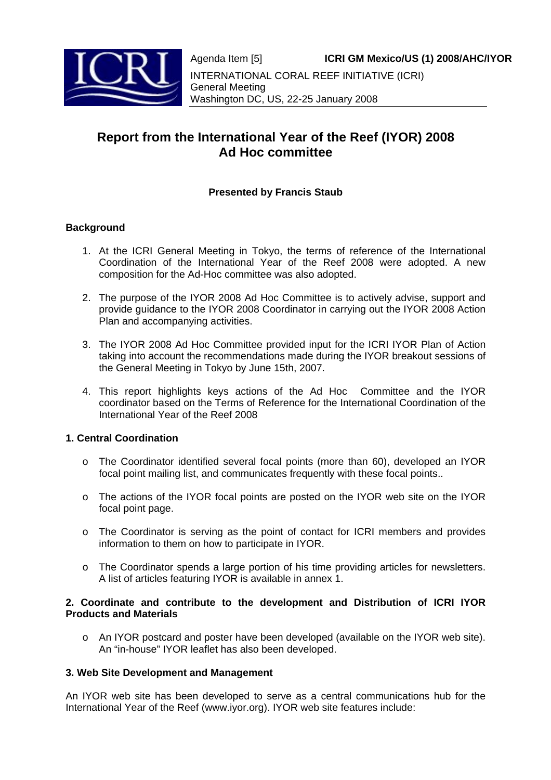

# **Report from the International Year of the Reef (IYOR) 2008 Ad Hoc committee**

## **Presented by Francis Staub**

## **Background**

- 1. At the ICRI General Meeting in Tokyo, the terms of reference of the International Coordination of the International Year of the Reef 2008 were adopted. A new composition for the Ad-Hoc committee was also adopted.
- 2. The purpose of the IYOR 2008 Ad Hoc Committee is to actively advise, support and provide guidance to the IYOR 2008 Coordinator in carrying out the IYOR 2008 Action Plan and accompanying activities.
- 3. The IYOR 2008 Ad Hoc Committee provided input for the ICRI IYOR Plan of Action taking into account the recommendations made during the IYOR breakout sessions of the General Meeting in Tokyo by June 15th, 2007.
- 4. This report highlights keys actions of the Ad Hoc Committee and the IYOR coordinator based on the Terms of Reference for the International Coordination of the International Year of the Reef 2008

## **1. Central Coordination**

- o The Coordinator identified several focal points (more than 60), developed an IYOR focal point mailing list, and communicates frequently with these focal points..
- o The actions of the IYOR focal points are posted on the IYOR web site on the IYOR focal point page.
- o The Coordinator is serving as the point of contact for ICRI members and provides information to them on how to participate in IYOR.
- o The Coordinator spends a large portion of his time providing articles for newsletters. A list of articles featuring IYOR is available in annex 1.

#### **2. Coordinate and contribute to the development and Distribution of ICRI IYOR Products and Materials**

o An IYOR postcard and poster have been developed (available on the IYOR web site). An "in-house" IYOR leaflet has also been developed.

## **3. Web Site Development and Management**

An IYOR web site has been developed to serve as a central communications hub for the International Year of the Reef (www.iyor.org). IYOR web site features include: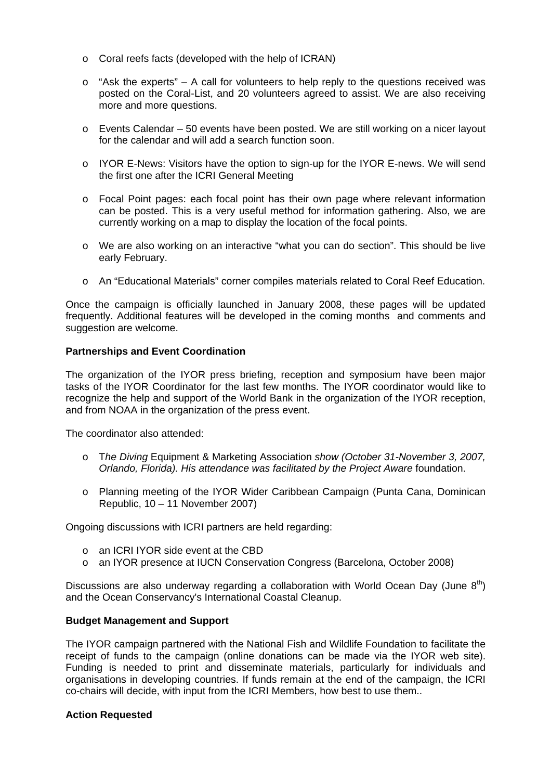- o Coral reefs facts (developed with the help of ICRAN)
- $\circ$  "Ask the experts" A call for volunteers to help reply to the questions received was posted on the Coral-List, and 20 volunteers agreed to assist. We are also receiving more and more questions.
- o Events Calendar 50 events have been posted. We are still working on a nicer layout for the calendar and will add a search function soon.
- $\circ$  IYOR E-News: Visitors have the option to sign-up for the IYOR E-news. We will send the first one after the ICRI General Meeting
- o Focal Point pages: each focal point has their own page where relevant information can be posted. This is a very useful method for information gathering. Also, we are currently working on a map to display the location of the focal points.
- o We are also working on an interactive "what you can do section". This should be live early February.
- o An "Educational Materials" corner compiles materials related to Coral Reef Education.

Once the campaign is officially launched in January 2008, these pages will be updated frequently. Additional features will be developed in the coming months and comments and suggestion are welcome.

#### **Partnerships and Event Coordination**

The organization of the IYOR press briefing, reception and symposium have been major tasks of the IYOR Coordinator for the last few months. The IYOR coordinator would like to recognize the help and support of the World Bank in the organization of the IYOR reception, and from NOAA in the organization of the press event.

The coordinator also attended:

- o T*he Diving* Equipment & Marketing Association *show (October 31-November 3, 2007, Orlando, Florida). His attendance was facilitated by the Project Aware* foundation.
- o Planning meeting of the IYOR Wider Caribbean Campaign (Punta Cana, Dominican Republic, 10 – 11 November 2007)

Ongoing discussions with ICRI partners are held regarding:

- o an ICRI IYOR side event at the CBD
- o an IYOR presence at IUCN Conservation Congress (Barcelona, October 2008)

Discussions are also underway regarding a collaboration with World Ocean Day (June  $8<sup>th</sup>$ ) and the Ocean Conservancy's International Coastal Cleanup.

#### **Budget Management and Support**

The IYOR campaign partnered with the National Fish and Wildlife Foundation to facilitate the receipt of funds to the campaign (online donations can be made via the IYOR web site). Funding is needed to print and disseminate materials, particularly for individuals and organisations in developing countries. If funds remain at the end of the campaign, the ICRI co-chairs will decide, with input from the ICRI Members, how best to use them..

## **Action Requested**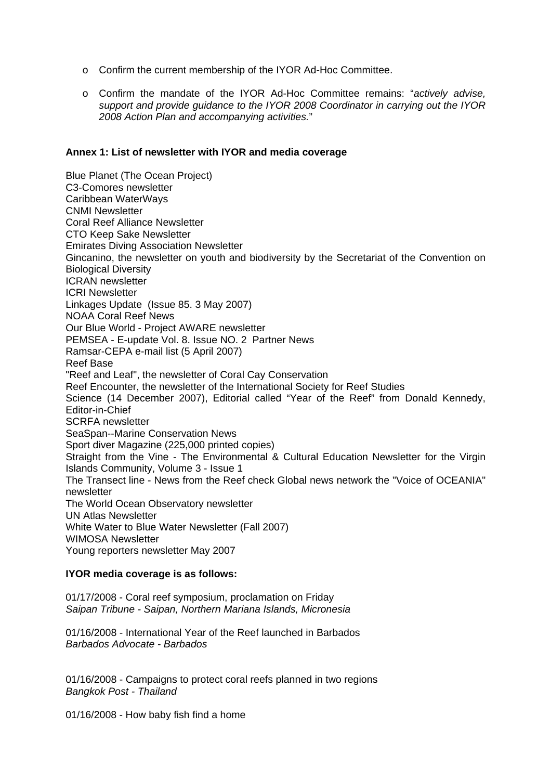- o Confirm the current membership of the IYOR Ad-Hoc Committee.
- o Confirm the mandate of the IYOR Ad-Hoc Committee remains: "*actively advise, support and provide guidance to the IYOR 2008 Coordinator in carrying out the IYOR 2008 Action Plan and accompanying activities.*"

#### **Annex 1: List of newsletter with IYOR and media coverage**

Blue Planet (The Ocean Project) C3-Comores newsletter Caribbean WaterWays CNMI Newsletter Coral Reef Alliance Newsletter CTO Keep Sake Newsletter Emirates Diving Association Newsletter Gincanino, the newsletter on youth and biodiversity by the Secretariat of the Convention on Biological Diversity ICRAN newsletter ICRI Newsletter Linkages Update (Issue 85. 3 May 2007) NOAA Coral Reef News Our Blue World - Project AWARE newsletter PEMSEA - E-update Vol. 8. Issue NO. 2 Partner News Ramsar-CEPA e-mail list (5 April 2007) Reef Base "Reef and Leaf", the newsletter of Coral Cay Conservation Reef Encounter, the newsletter of the International Society for Reef Studies Science (14 December 2007), Editorial called "Year of the Reef" from Donald Kennedy, Editor-in-Chief SCRFA newsletter SeaSpan--Marine Conservation News Sport diver Magazine (225,000 printed copies) Straight from the Vine - The Environmental & Cultural Education Newsletter for the Virgin Islands Community, Volume 3 - Issue 1 The Transect line - News from the Reef check Global news network the "Voice of OCEANIA" newsletter The World Ocean Observatory newsletter UN Atlas Newsletter White Water to Blue Water Newsletter (Fall 2007) WIMOSA Newsletter Young reporters newsletter May 2007

#### **IYOR media coverage is as follows:**

01/17/2008 - Coral reef symposium, proclamation on Friday *Saipan Tribune - Saipan, Northern Mariana Islands, Micronesia* 

01/16/2008 - International Year of the Reef launched in Barbados *Barbados Advocate - Barbados* 

01/16/2008 - Campaigns to protect coral reefs planned in two regions *Bangkok Post - Thailand* 

01/16/2008 - How baby fish find a home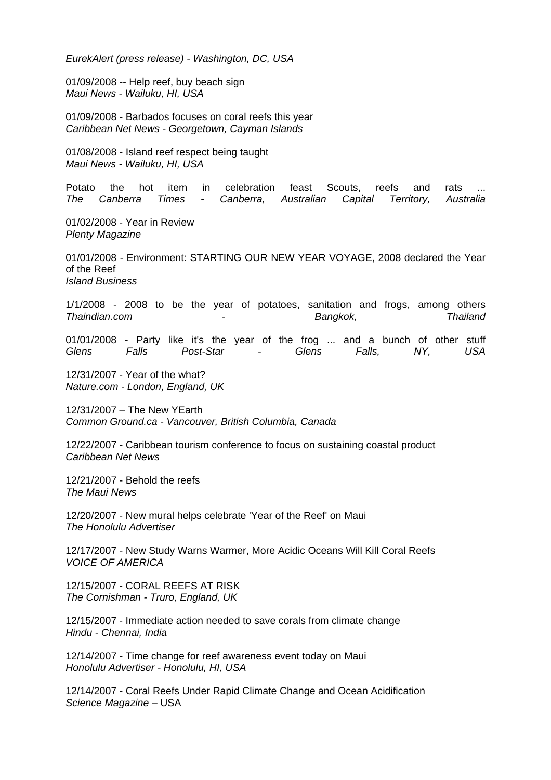*EurekAlert (press release) - Washington, DC, USA* 

01/09/2008 -- Help reef, buy beach sign *Maui News - Wailuku, HI, USA* 

01/09/2008 - Barbados focuses on coral reefs this year *Caribbean Net News - Georgetown, Cayman Islands* 

01/08/2008 - Island reef respect being taught *Maui News - Wailuku, HI, USA* 

Potato the hot item in celebration feast Scouts, reefs and rats ... *The Canberra Times - Canberra, Australian Capital Territory, Australia*

01/02/2008 - Year in Review *Plenty Magazine* 

01/01/2008 - Environment: STARTING OUR NEW YEAR VOYAGE, 2008 declared the Year of the Reef *Island Business* 

1/1/2008 - 2008 to be the year of potatoes, sanitation and frogs, among others *Thaindian.com - Bangkok, Thailand*

01/01/2008 - Party like it's the year of the frog ... and a bunch of other stuff *Glens Falls Post-Star - Glens Falls, NY, USA*

12/31/2007 - Year of the what? *Nature.com - London, England, UK* 

12/31/2007 – The New YEarth *Common Ground.ca - Vancouver, British Columbia, Canada* 

12/22/2007 - Caribbean tourism conference to focus on sustaining coastal product *Caribbean Net News* 

12/21/2007 - Behold the reefs *The Maui News* 

12/20/2007 - New mural helps celebrate 'Year of the Reef' on Maui *The Honolulu Advertiser* 

12/17/2007 - New Study Warns Warmer, More Acidic Oceans Will Kill Coral Reefs *VOICE OF AMERICA* 

12/15/2007 - CORAL REEFS AT RISK *The Cornishman - Truro, England, UK* 

12/15/2007 - Immediate action needed to save corals from climate change *Hindu - Chennai, India* 

12/14/2007 - Time change for reef awareness event today on Maui *Honolulu Advertiser - Honolulu, HI, USA* 

12/14/2007 - Coral Reefs Under Rapid Climate Change and Ocean Acidification *Science Magazine* – USA